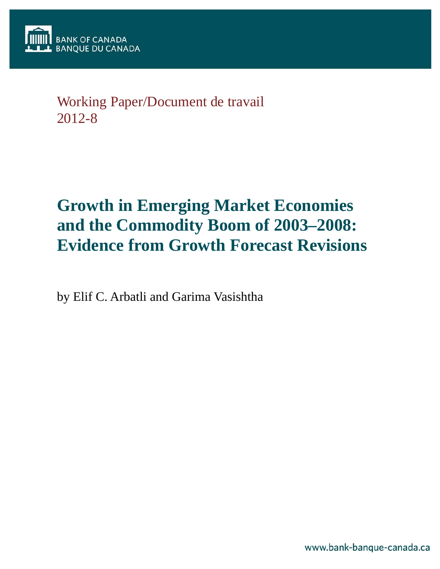# Working Paper/Document de travail 2012-8

# **Growth in Emerging Market Economies and the Commodity Boom of 2003–2008: Evidence from Growth Forecast Revisions**

by Elif C. Arbatli and Garima Vasishtha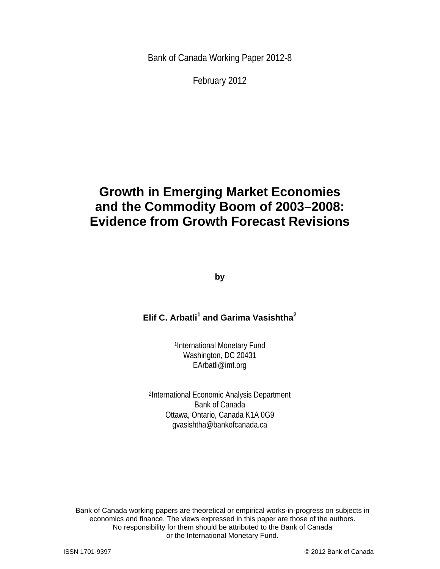Bank of Canada Working Paper 2012-8

February 2012

# **Growth in Emerging Market Economies and the Commodity Boom of 2003–2008: Evidence from Growth Forecast Revisions**

**by** 

# **Elif C. Arbatli<sup>1</sup> and Garima Vasishtha<sup>2</sup>**

1International Monetary Fund Washington, DC 20431 EArbatli@imf.org

2International Economic Analysis Department Bank of Canada Ottawa, Ontario, Canada K1A 0G9 gvasishtha@bankofcanada.ca

2 or the International Monetary Fund. Bank of Canada working papers are theoretical or empirical works-in-progress on subjects in economics and finance. The views expressed in this paper are those of the authors. No responsibility for them should be attributed to the Bank of Canada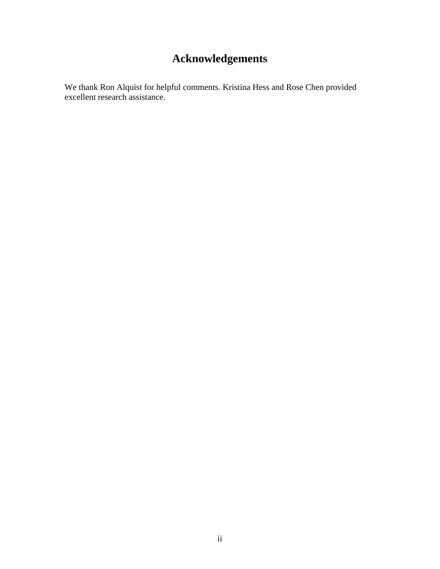# **Acknowledgements**

We thank Ron Alquist for helpful comments. Kristina Hess and Rose Chen provided excellent research assistance.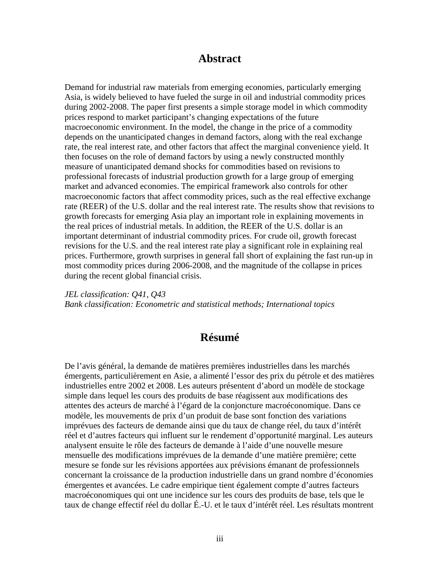# **Abstract**

Demand for industrial raw materials from emerging economies, particularly emerging Asia, is widely believed to have fueled the surge in oil and industrial commodity prices during 2002-2008. The paper first presents a simple storage model in which commodity prices respond to market participant's changing expectations of the future macroeconomic environment. In the model, the change in the price of a commodity depends on the unanticipated changes in demand factors, along with the real exchange rate, the real interest rate, and other factors that affect the marginal convenience yield. It then focuses on the role of demand factors by using a newly constructed monthly measure of unanticipated demand shocks for commodities based on revisions to professional forecasts of industrial production growth for a large group of emerging market and advanced economies. The empirical framework also controls for other macroeconomic factors that affect commodity prices, such as the real effective exchange rate (REER) of the U.S. dollar and the real interest rate. The results show that revisions to growth forecasts for emerging Asia play an important role in explaining movements in the real prices of industrial metals. In addition, the REER of the U.S. dollar is an important determinant of industrial commodity prices. For crude oil, growth forecast revisions for the U.S. and the real interest rate play a significant role in explaining real prices. Furthermore, growth surprises in general fall short of explaining the fast run-up in most commodity prices during 2006-2008, and the magnitude of the collapse in prices during the recent global financial crisis.

*JEL classification: Q41, Q43 Bank classification: Econometric and statistical methods; International topics* 

# **Résumé**

De l'avis général, la demande de matières premières industrielles dans les marchés émergents, particulièrement en Asie, a alimenté l'essor des prix du pétrole et des matières industrielles entre 2002 et 2008. Les auteurs présentent d'abord un modèle de stockage simple dans lequel les cours des produits de base réagissent aux modifications des attentes des acteurs de marché à l'égard de la conjoncture macroéconomique. Dans ce modèle, les mouvements de prix d'un produit de base sont fonction des variations imprévues des facteurs de demande ainsi que du taux de change réel, du taux d'intérêt réel et d'autres facteurs qui influent sur le rendement d'opportunité marginal. Les auteurs analysent ensuite le rôle des facteurs de demande à l'aide d'une nouvelle mesure mensuelle des modifications imprévues de la demande d'une matière première; cette mesure se fonde sur les révisions apportées aux prévisions émanant de professionnels concernant la croissance de la production industrielle dans un grand nombre d'économies émergentes et avancées. Le cadre empirique tient également compte d'autres facteurs macroéconomiques qui ont une incidence sur les cours des produits de base, tels que le taux de change effectif réel du dollar É.-U. et le taux d'intérêt réel. Les résultats montrent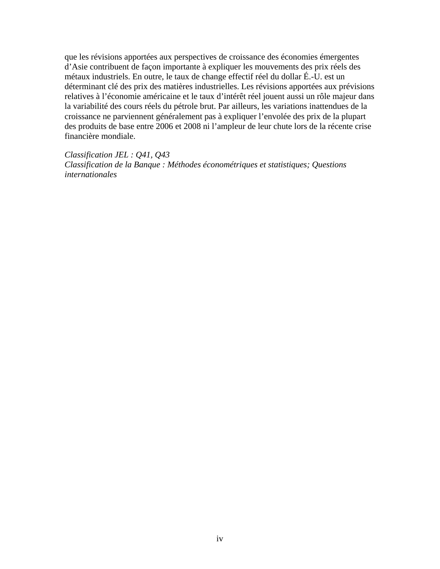que les révisions apportées aux perspectives de croissance des économies émergentes d'Asie contribuent de façon importante à expliquer les mouvements des prix réels des métaux industriels. En outre, le taux de change effectif réel du dollar É.-U. est un déterminant clé des prix des matières industrielles. Les révisions apportées aux prévisions relatives à l'économie américaine et le taux d'intérêt réel jouent aussi un rôle majeur dans la variabilité des cours réels du pétrole brut. Par ailleurs, les variations inattendues de la croissance ne parviennent généralement pas à expliquer l'envolée des prix de la plupart des produits de base entre 2006 et 2008 ni l'ampleur de leur chute lors de la récente crise financière mondiale.

*Classification JEL : Q41, Q43 Classification de la Banque : Méthodes économétriques et statistiques; Questions internationales*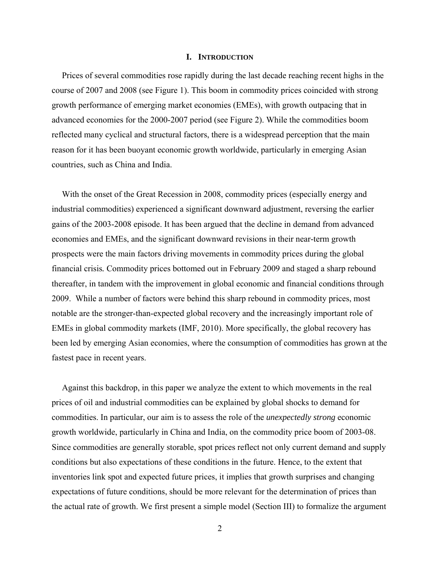#### **I. INTRODUCTION**

Prices of several commodities rose rapidly during the last decade reaching recent highs in the course of 2007 and 2008 (see Figure 1). This boom in commodity prices coincided with strong growth performance of emerging market economies (EMEs), with growth outpacing that in advanced economies for the 2000-2007 period (see Figure 2). While the commodities boom reflected many cyclical and structural factors, there is a widespread perception that the main reason for it has been buoyant economic growth worldwide, particularly in emerging Asian countries, such as China and India.

With the onset of the Great Recession in 2008, commodity prices (especially energy and industrial commodities) experienced a significant downward adjustment, reversing the earlier gains of the 2003-2008 episode. It has been argued that the decline in demand from advanced economies and EMEs, and the significant downward revisions in their near-term growth prospects were the main factors driving movements in commodity prices during the global financial crisis*.* Commodity prices bottomed out in February 2009 and staged a sharp rebound thereafter, in tandem with the improvement in global economic and financial conditions through 2009. While a number of factors were behind this sharp rebound in commodity prices, most notable are the stronger-than-expected global recovery and the increasingly important role of EMEs in global commodity markets (IMF, 2010). More specifically, the global recovery has been led by emerging Asian economies, where the consumption of commodities has grown at the fastest pace in recent years.

Against this backdrop, in this paper we analyze the extent to which movements in the real prices of oil and industrial commodities can be explained by global shocks to demand for commodities. In particular, our aim is to assess the role of the *unexpectedly strong* economic growth worldwide, particularly in China and India, on the commodity price boom of 2003-08. Since commodities are generally storable, spot prices reflect not only current demand and supply conditions but also expectations of these conditions in the future. Hence, to the extent that inventories link spot and expected future prices, it implies that growth surprises and changing expectations of future conditions, should be more relevant for the determination of prices than the actual rate of growth. We first present a simple model (Section III) to formalize the argument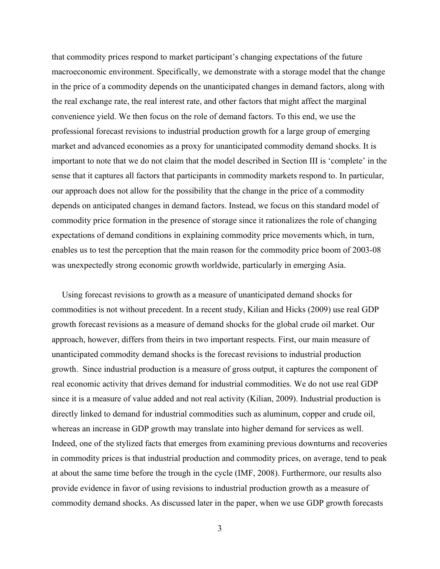that commodity prices respond to market participant's changing expectations of the future macroeconomic environment. Specifically, we demonstrate with a storage model that the change in the price of a commodity depends on the unanticipated changes in demand factors, along with the real exchange rate, the real interest rate, and other factors that might affect the marginal convenience yield. We then focus on the role of demand factors. To this end, we use the professional forecast revisions to industrial production growth for a large group of emerging market and advanced economies as a proxy for unanticipated commodity demand shocks. It is important to note that we do not claim that the model described in Section III is 'complete' in the sense that it captures all factors that participants in commodity markets respond to. In particular, our approach does not allow for the possibility that the change in the price of a commodity depends on anticipated changes in demand factors. Instead, we focus on this standard model of commodity price formation in the presence of storage since it rationalizes the role of changing expectations of demand conditions in explaining commodity price movements which, in turn, enables us to test the perception that the main reason for the commodity price boom of 2003-08 was unexpectedly strong economic growth worldwide, particularly in emerging Asia.

Using forecast revisions to growth as a measure of unanticipated demand shocks for commodities is not without precedent. In a recent study, Kilian and Hicks (2009) use real GDP growth forecast revisions as a measure of demand shocks for the global crude oil market. Our approach, however, differs from theirs in two important respects. First, our main measure of unanticipated commodity demand shocks is the forecast revisions to industrial production growth. Since industrial production is a measure of gross output, it captures the component of real economic activity that drives demand for industrial commodities. We do not use real GDP since it is a measure of value added and not real activity (Kilian, 2009). Industrial production is directly linked to demand for industrial commodities such as aluminum, copper and crude oil, whereas an increase in GDP growth may translate into higher demand for services as well. Indeed, one of the stylized facts that emerges from examining previous downturns and recoveries in commodity prices is that industrial production and commodity prices, on average, tend to peak at about the same time before the trough in the cycle (IMF, 2008). Furthermore, our results also provide evidence in favor of using revisions to industrial production growth as a measure of commodity demand shocks. As discussed later in the paper, when we use GDP growth forecasts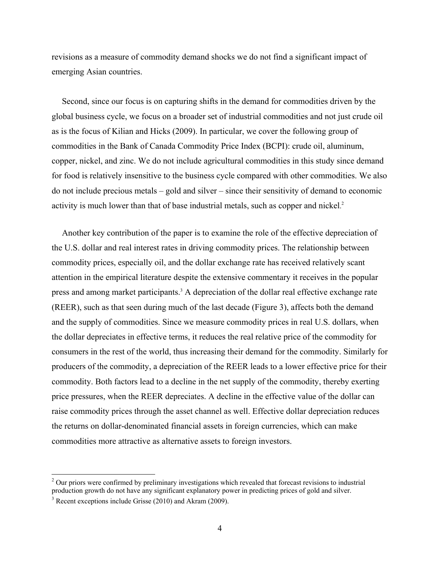revisions as a measure of commodity demand shocks we do not find a significant impact of emerging Asian countries.

Second, since our focus is on capturing shifts in the demand for commodities driven by the global business cycle, we focus on a broader set of industrial commodities and not just crude oil as is the focus of Kilian and Hicks (2009). In particular, we cover the following group of commodities in the Bank of Canada Commodity Price Index (BCPI): crude oil, aluminum, copper, nickel, and zinc. We do not include agricultural commodities in this study since demand for food is relatively insensitive to the business cycle compared with other commodities. We also do not include precious metals – gold and silver – since their sensitivity of demand to economic activity is much lower than that of base industrial metals, such as copper and nickel. 2

Another key contribution of the paper is to examine the role of the effective depreciation of the U.S. dollar and real interest rates in driving commodity prices. The relationship between commodity prices, especially oil, and the dollar exchange rate has received relatively scant attention in the empirical literature despite the extensive commentary it receives in the popular press and among market participants.<sup>3</sup> A depreciation of the dollar real effective exchange rate (REER), such as that seen during much of the last decade (Figure 3), affects both the demand and the supply of commodities. Since we measure commodity prices in real U.S. dollars, when the dollar depreciates in effective terms, it reduces the real relative price of the commodity for consumers in the rest of the world, thus increasing their demand for the commodity. Similarly for producers of the commodity, a depreciation of the REER leads to a lower effective price for their commodity. Both factors lead to a decline in the net supply of the commodity, thereby exerting price pressures, when the REER depreciates. A decline in the effective value of the dollar can raise commodity prices through the asset channel as well. Effective dollar depreciation reduces the returns on dollar-denominated financial assets in foreign currencies, which can make commodities more attractive as alternative assets to foreign investors.

 $\overline{a}$ 

 $2$  Our priors were confirmed by preliminary investigations which revealed that forecast revisions to industrial production growth do not have any significant explanatory power in predicting prices of gold and silver.

<sup>&</sup>lt;sup>3</sup> Recent exceptions include Grisse (2010) and Akram (2009).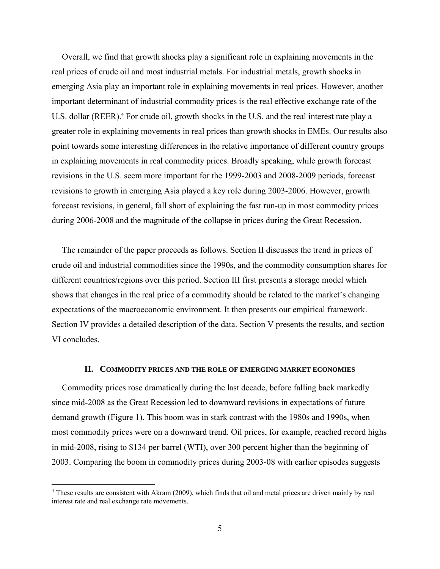Overall, we find that growth shocks play a significant role in explaining movements in the real prices of crude oil and most industrial metals. For industrial metals, growth shocks in emerging Asia play an important role in explaining movements in real prices. However, another important determinant of industrial commodity prices is the real effective exchange rate of the U.S. dollar (REER).<sup>4</sup> For crude oil, growth shocks in the U.S. and the real interest rate play a greater role in explaining movements in real prices than growth shocks in EMEs. Our results also point towards some interesting differences in the relative importance of different country groups in explaining movements in real commodity prices. Broadly speaking, while growth forecast revisions in the U.S. seem more important for the 1999-2003 and 2008-2009 periods, forecast revisions to growth in emerging Asia played a key role during 2003-2006. However, growth forecast revisions, in general, fall short of explaining the fast run-up in most commodity prices during 2006-2008 and the magnitude of the collapse in prices during the Great Recession.

The remainder of the paper proceeds as follows. Section II discusses the trend in prices of crude oil and industrial commodities since the 1990s, and the commodity consumption shares for different countries/regions over this period. Section III first presents a storage model which shows that changes in the real price of a commodity should be related to the market's changing expectations of the macroeconomic environment. It then presents our empirical framework. Section IV provides a detailed description of the data. Section V presents the results, and section VI concludes.

#### **II. COMMODITY PRICES AND THE ROLE OF EMERGING MARKET ECONOMIES**

Commodity prices rose dramatically during the last decade, before falling back markedly since mid-2008 as the Great Recession led to downward revisions in expectations of future demand growth (Figure 1). This boom was in stark contrast with the 1980s and 1990s, when most commodity prices were on a downward trend. Oil prices, for example, reached record highs in mid-2008, rising to \$134 per barrel (WTI), over 300 percent higher than the beginning of 2003. Comparing the boom in commodity prices during 2003-08 with earlier episodes suggests

 $\overline{a}$ 

<sup>&</sup>lt;sup>4</sup> These results are consistent with Akram (2009), which finds that oil and metal prices are driven mainly by real interest rate and real exchange rate movements.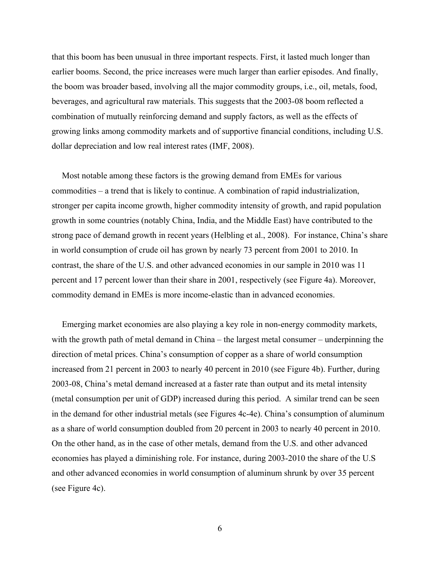that this boom has been unusual in three important respects. First, it lasted much longer than earlier booms. Second, the price increases were much larger than earlier episodes. And finally, the boom was broader based, involving all the major commodity groups, i.e., oil, metals, food, beverages, and agricultural raw materials. This suggests that the 2003-08 boom reflected a combination of mutually reinforcing demand and supply factors, as well as the effects of growing links among commodity markets and of supportive financial conditions, including U.S. dollar depreciation and low real interest rates (IMF, 2008).

Most notable among these factors is the growing demand from EMEs for various commodities – a trend that is likely to continue. A combination of rapid industrialization, stronger per capita income growth, higher commodity intensity of growth, and rapid population growth in some countries (notably China, India, and the Middle East) have contributed to the strong pace of demand growth in recent years (Helbling et al., 2008). For instance, China's share in world consumption of crude oil has grown by nearly 73 percent from 2001 to 2010. In contrast, the share of the U.S. and other advanced economies in our sample in 2010 was 11 percent and 17 percent lower than their share in 2001, respectively (see Figure 4a). Moreover, commodity demand in EMEs is more income-elastic than in advanced economies.

Emerging market economies are also playing a key role in non-energy commodity markets, with the growth path of metal demand in China – the largest metal consumer – underpinning the direction of metal prices. China's consumption of copper as a share of world consumption increased from 21 percent in 2003 to nearly 40 percent in 2010 (see Figure 4b). Further, during 2003-08, China's metal demand increased at a faster rate than output and its metal intensity (metal consumption per unit of GDP) increased during this period. A similar trend can be seen in the demand for other industrial metals (see Figures 4c-4e). China's consumption of aluminum as a share of world consumption doubled from 20 percent in 2003 to nearly 40 percent in 2010. On the other hand, as in the case of other metals, demand from the U.S. and other advanced economies has played a diminishing role. For instance, during 2003-2010 the share of the U.S and other advanced economies in world consumption of aluminum shrunk by over 35 percent (see Figure 4c).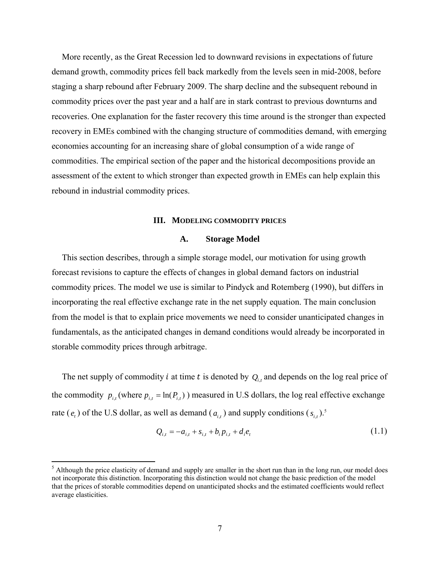More recently, as the Great Recession led to downward revisions in expectations of future demand growth, commodity prices fell back markedly from the levels seen in mid-2008, before staging a sharp rebound after February 2009. The sharp decline and the subsequent rebound in commodity prices over the past year and a half are in stark contrast to previous downturns and recoveries. One explanation for the faster recovery this time around is the stronger than expected recovery in EMEs combined with the changing structure of commodities demand, with emerging economies accounting for an increasing share of global consumption of a wide range of commodities. The empirical section of the paper and the historical decompositions provide an assessment of the extent to which stronger than expected growth in EMEs can help explain this rebound in industrial commodity prices.

#### **III. MODELING COMMODITY PRICES**

#### **A. Storage Model**

This section describes, through a simple storage model, our motivation for using growth forecast revisions to capture the effects of changes in global demand factors on industrial commodity prices. The model we use is similar to Pindyck and Rotemberg (1990), but differs in incorporating the real effective exchange rate in the net supply equation. The main conclusion from the model is that to explain price movements we need to consider unanticipated changes in fundamentals, as the anticipated changes in demand conditions would already be incorporated in storable commodity prices through arbitrage.

The net supply of commodity *i* at time *t* is denoted by  $Q_{i,t}$  and depends on the log real price of the commodity  $p_{i,t}$  (where  $p_{i,t} = \ln(P_{i,t})$ ) measured in U.S dollars, the log real effective exchange rate  $(e_t)$  of the U.S dollar, as well as demand  $(a_{i,t})$  and supply conditions  $(s_{i,t})$ .<sup>5</sup>

$$
Q_{i,t} = -a_{i,t} + s_{i,t} + b_i p_{i,t} + d_i e_t
$$
\n(1.1)

 $\overline{a}$ 

 $<sup>5</sup>$  Although the price elasticity of demand and supply are smaller in the short run than in the long run, our model does</sup> not incorporate this distinction. Incorporating this distinction would not change the basic prediction of the model that the prices of storable commodities depend on unanticipated shocks and the estimated coefficients would reflect average elasticities.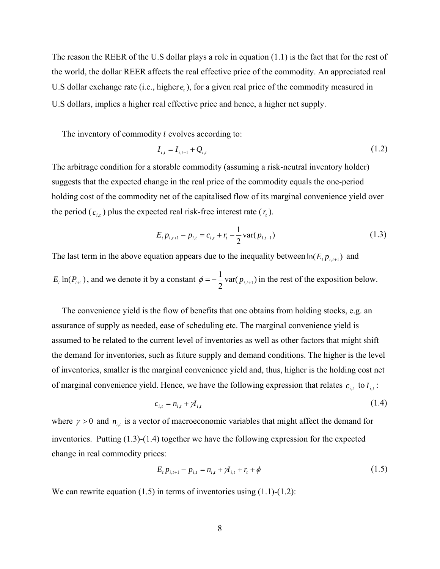The reason the REER of the U.S dollar plays a role in equation (1.1) is the fact that for the rest of the world, the dollar REER affects the real effective price of the commodity. An appreciated real U.S dollar exchange rate (i.e., higher  $e_t$ ), for a given real price of the commodity measured in U.S dollars, implies a higher real effective price and hence, a higher net supply.

The inventory of commodity  $i$  evolves according to:

$$
I_{i,t} = I_{i,t-1} + Q_{i,t}
$$
\n(1.2)

The arbitrage condition for a storable commodity (assuming a risk-neutral inventory holder) suggests that the expected change in the real price of the commodity equals the one-period holding cost of the commodity net of the capitalised flow of its marginal convenience yield over the period  $(c_{i,t})$  plus the expected real risk-free interest rate  $(r_t)$ .

$$
E_{t} p_{i,t+1} - p_{i,t} = c_{i,t} + r_{t} - \frac{1}{2} \text{var}(p_{i,t+1})
$$
\n(1.3)

The last term in the above equation appears due to the inequality between  $ln(E_t p_{i,t+1})$  and

$$
E_t \ln(P_{t+1})
$$
, and we denote it by a constant  $\phi = -\frac{1}{2} \text{var}(p_{t,t+1})$  in the rest of the exposition below.

The convenience yield is the flow of benefits that one obtains from holding stocks, e.g. an assurance of supply as needed, ease of scheduling etc. The marginal convenience yield is assumed to be related to the current level of inventories as well as other factors that might shift the demand for inventories, such as future supply and demand conditions. The higher is the level of inventories, smaller is the marginal convenience yield and, thus, higher is the holding cost net of marginal convenience yield. Hence, we have the following expression that relates  $c_{i,t}$  to  $I_{i,t}$ :

$$
c_{i,t} = n_{i,t} + \mathcal{A}_{i,t}
$$
 (1.4)

where  $\gamma > 0$  and  $n_{i,t}$  is a vector of macroeconomic variables that might affect the demand for inventories. Putting (1.3)-(1.4) together we have the following expression for the expected change in real commodity prices:

$$
E_{t} p_{i,t+1} - p_{i,t} = n_{i,t} + \gamma I_{i,t} + r_{t} + \phi
$$
\n(1.5)

We can rewrite equation  $(1.5)$  in terms of inventories using  $(1.1)-(1.2)$ :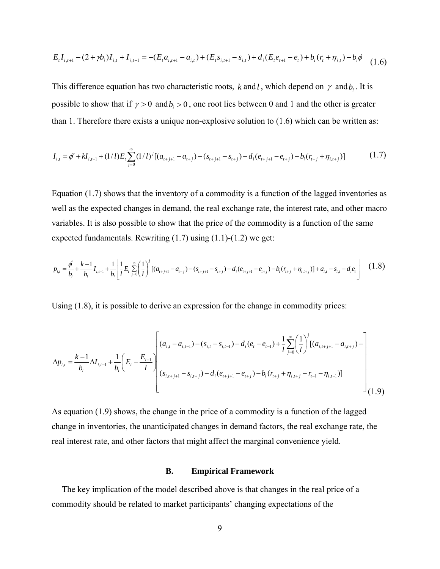$$
E_{t}I_{i,t+1} - (2+\gamma b_{i})I_{i,t} + I_{i,t-1} = -(E_{t}a_{i,t+1} - a_{i,t}) + (E_{t}s_{i,t+1} - s_{i,t}) + d_{i}(E_{t}e_{t+1} - e_{t}) + b_{i}(r_{t} + \eta_{i,t}) - b_{i}\phi
$$
\n(1.6)

This difference equation has two characteristic roots, *k* and *l*, which depend on  $\gamma$  and  $b_i$ . It is possible to show that if  $\gamma > 0$  and  $b_i > 0$ , one root lies between 0 and 1 and the other is greater than 1. Therefore there exists a unique non-explosive solution to (1.6) which can be written as:

$$
I_{i,t} = \phi' + k I_{i,t-1} + (1/l) E_t \sum_{j=0}^{\infty} (1/l)^j [(a_{t+j+1} - a_{t+j}) - (s_{t+j+1} - s_{t+j}) - d_i (e_{t+j+1} - e_{t+j}) - b_i (r_{t+j} + \eta_{i,t+j})]
$$
(1.7)

Equation (1.7) shows that the inventory of a commodity is a function of the lagged inventories as well as the expected changes in demand, the real exchange rate, the interest rate, and other macro variables. It is also possible to show that the price of the commodity is a function of the same expected fundamentals. Rewriting  $(1.7)$  using  $(1.1)-(1.2)$  we get:

$$
p_{i,t} = \frac{\phi}{b_i} + \frac{k-1}{b_i} I_{i,t-1} + \frac{1}{b_i} \left[ \frac{1}{l} E_t \sum_{j=0}^{\infty} \left( \frac{1}{l} \right)^j \left[ (a_{t+j+1} - a_{t+j}) - (s_{t+j+1} - s_{t+j}) - d_i (e_{t+j+1} - e_{t+j}) - b_i (r_{t+j} + \eta_{i,t+j}) \right] + a_{i,t} - s_{i,t} - d_i e_t \right] \tag{1.8}
$$

Using (1.8), it is possible to derive an expression for the change in commodity prices:

$$
\Delta p_{i,t} = \frac{k-1}{b_i} \Delta I_{i,t-1} + \frac{1}{b_i} \left( E_t - \frac{E_{t-1}}{l} \right) \begin{bmatrix} (a_{i,t} - a_{i,t-1}) - (s_{i,t} - s_{i,t-1}) - d_i(e_t - e_{t-1}) + \frac{1}{l} \sum_{j=0}^{\infty} \left( \frac{1}{l} \right)^j [(a_{i,t+j+1} - a_{i,t+j}) - \frac{1}{l} \sum_{j=0}^{\infty} \left( \frac{1}{l} \right)^j [(a_{i,t+j+1} - a_{i,t+j}) - \frac{1}{l} \sum_{j=0}^{\infty} \left( \frac{1}{l} \right)^j [(a_{i,t+j+1} - a_{i,t+j}) - \frac{1}{l} \sum_{j=0}^{\infty} \left( \frac{1}{l} \right)^j [(a_{i,t+j+1} - a_{i,t+j}) - \frac{1}{l} \sum_{j=0}^{\infty} \left( \frac{1}{l} \right)^j [(a_{i,t+j+1} - a_{i,t+j}) - \frac{1}{l} \sum_{j=0}^{\infty} \left( \frac{1}{l} \right)^j [(a_{i,t+j+1} - a_{i,t+j}) - \frac{1}{l} \sum_{j=0}^{\infty} \left( \frac{1}{l} \right)^j [(a_{i,t+j+1} - a_{i,t+j}) - \frac{1}{l} \sum_{j=0}^{\infty} \left( \frac{1}{l} \right)^j [(a_{i,t+j+1} - a_{i,t+j}) - \frac{1}{l} \sum_{j=0}^{\infty} \left( \frac{1}{l} \right)^j [(a_{i,t+j+1} - a_{i,t+j}) - \frac{1}{l} \sum_{j=0}^{\infty} \left( \frac{1}{l} \right)^j [(a_{i,t+j+1} - a_{i,t+j}) - \frac{1}{l} \sum_{j=0}^{\infty} \left( \frac{1}{l} \right)^j [(a_{i,t+j+1} - a_{i,t+j}) - \frac{1}{l} \sum_{j=0}^{\infty} \left( \frac{1}{l} \right)^j [(a_{i,t+j+1} - a_{i,t+j}) - \frac{1}{l} \sum_{j=0}^{\infty} \left( \frac{1}{l} \right)^j [(a_{i,t+j+1} - a_{i,t+j}) - \frac{1}{l
$$

As equation (1.9) shows, the change in the price of a commodity is a function of the lagged change in inventories, the unanticipated changes in demand factors, the real exchange rate, the real interest rate, and other factors that might affect the marginal convenience yield.

#### **B. Empirical Framework**

The key implication of the model described above is that changes in the real price of a commodity should be related to market participants' changing expectations of the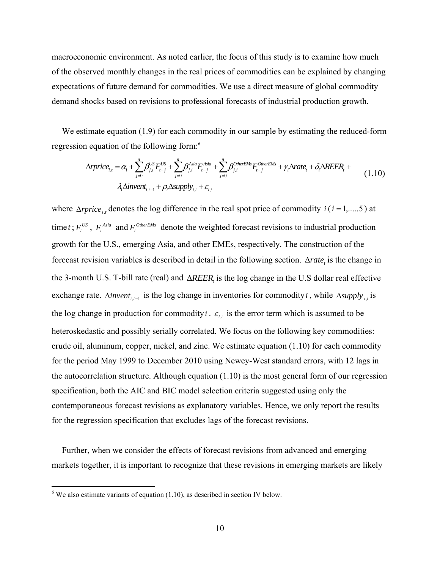macroeconomic environment. As noted earlier, the focus of this study is to examine how much of the observed monthly changes in the real prices of commodities can be explained by changing expectations of future demand for commodities. We use a direct measure of global commodity demand shocks based on revisions to professional forecasts of industrial production growth.

We estimate equation (1.9) for each commodity in our sample by estimating the reduced-form regression equation of the following form:6

$$
\Delta rprice_{i,t} = \alpha_i + \sum_{j=0}^{n} \beta_{j,i}^{US} F_{t-j}^{US} + \sum_{j=0}^{n} \beta_{j,i}^{Asia} F_{t-j}^{Asia} + \sum_{j=0}^{n} \beta_{j,i}^{OtherEMS} F_{t-j}^{OtherEMS} + \gamma_i \Delta rate_t + \delta_i \Delta REER_t + \lambda_i \Delta invent_{i,t-1} + \rho_i \Delta supply_{i,t} + \varepsilon_{i,t}
$$
\n(1.10)

where  $\Delta rprice_i$ , denotes the log difference in the real spot price of commodity  $i(i = 1, \ldots, 5)$  at time *t*;  $F_t^{US}$ ,  $F_t^{Asia}$  and  $F_t^{Otherwise}$  denote the weighted forecast revisions to industrial production growth for the U.S., emerging Asia, and other EMEs, respectively. The construction of the forecast revision variables is described in detail in the following section. *<sup>t</sup>* Δ*rate* is the change in the 3-month U.S. T-bill rate (real) and Δ*REER*, is the log change in the U.S dollar real effective exchange rate.  $\Delta$ *invent<sub>it-1</sub>* is the log change in inventories for commodity *i*, while  $\Delta$ *supply*<sub>*i*,</sub> is the log change in production for commodity *i*.  $\varepsilon_{i,t}$  is the error term which is assumed to be heteroskedastic and possibly serially correlated. We focus on the following key commodities: crude oil, aluminum, copper, nickel, and zinc. We estimate equation (1.10) for each commodity for the period May 1999 to December 2010 using Newey-West standard errors, with 12 lags in the autocorrelation structure. Although equation  $(1.10)$  is the most general form of our regression specification, both the AIC and BIC model selection criteria suggested using only the contemporaneous forecast revisions as explanatory variables. Hence, we only report the results for the regression specification that excludes lags of the forecast revisions.

Further, when we consider the effects of forecast revisions from advanced and emerging markets together, it is important to recognize that these revisions in emerging markets are likely

 $\overline{\text{6}}$  We also estimate variants of equation (1.10), as described in section IV below.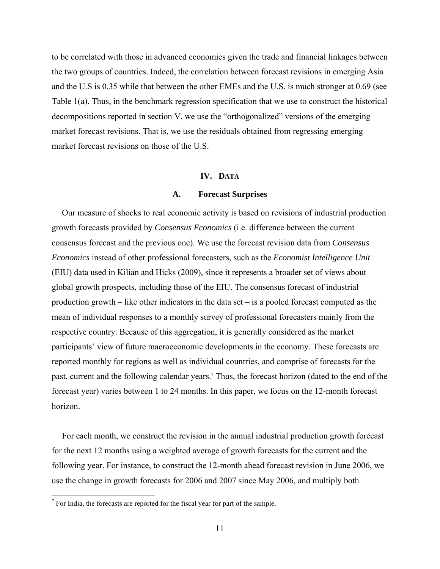to be correlated with those in advanced economies given the trade and financial linkages between the two groups of countries. Indeed, the correlation between forecast revisions in emerging Asia and the U.S is 0.35 while that between the other EMEs and the U.S. is much stronger at 0.69 (see Table 1(a). Thus, in the benchmark regression specification that we use to construct the historical decompositions reported in section V, we use the "orthogonalized" versions of the emerging market forecast revisions. That is, we use the residuals obtained from regressing emerging market forecast revisions on those of the U.S.

#### **IV. DATA**

#### **A. Forecast Surprises**

Our measure of shocks to real economic activity is based on revisions of industrial production growth forecasts provided by *Consensus Economics* (i.e. difference between the current consensus forecast and the previous one). We use the forecast revision data from *Consensus Economics* instead of other professional forecasters, such as the *Economist Intelligence Unit* (EIU) data used in Kilian and Hicks (2009), since it represents a broader set of views about global growth prospects, including those of the EIU. The consensus forecast of industrial production growth – like other indicators in the data set – is a pooled forecast computed as the mean of individual responses to a monthly survey of professional forecasters mainly from the respective country. Because of this aggregation, it is generally considered as the market participants' view of future macroeconomic developments in the economy. These forecasts are reported monthly for regions as well as individual countries, and comprise of forecasts for the past, current and the following calendar years.<sup>7</sup> Thus, the forecast horizon (dated to the end of the forecast year) varies between 1 to 24 months. In this paper, we focus on the 12-month forecast horizon.

For each month, we construct the revision in the annual industrial production growth forecast for the next 12 months using a weighted average of growth forecasts for the current and the following year. For instance, to construct the 12-month ahead forecast revision in June 2006, we use the change in growth forecasts for 2006 and 2007 since May 2006, and multiply both

<sup>&</sup>lt;sup>7</sup> For India, the forecasts are reported for the fiscal year for part of the sample.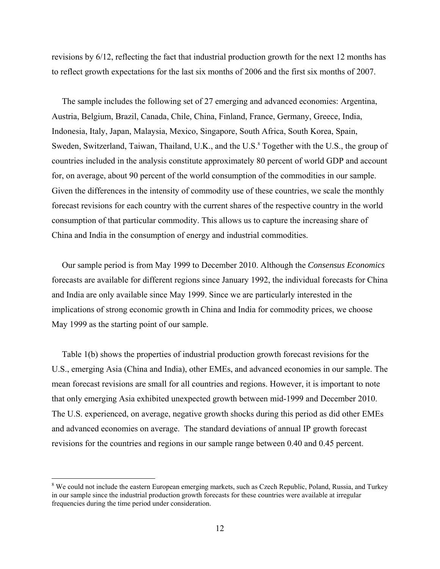revisions by 6/12, reflecting the fact that industrial production growth for the next 12 months has to reflect growth expectations for the last six months of 2006 and the first six months of 2007.

The sample includes the following set of 27 emerging and advanced economies: Argentina, Austria, Belgium, Brazil, Canada, Chile, China, Finland, France, Germany, Greece, India, Indonesia, Italy, Japan, Malaysia, Mexico, Singapore, South Africa, South Korea, Spain, Sweden, Switzerland, Taiwan, Thailand, U.K., and the U.S.<sup>8</sup> Together with the U.S., the group of countries included in the analysis constitute approximately 80 percent of world GDP and account for, on average, about 90 percent of the world consumption of the commodities in our sample. Given the differences in the intensity of commodity use of these countries, we scale the monthly forecast revisions for each country with the current shares of the respective country in the world consumption of that particular commodity. This allows us to capture the increasing share of China and India in the consumption of energy and industrial commodities.

Our sample period is from May 1999 to December 2010. Although the *Consensus Economics* forecasts are available for different regions since January 1992, the individual forecasts for China and India are only available since May 1999. Since we are particularly interested in the implications of strong economic growth in China and India for commodity prices, we choose May 1999 as the starting point of our sample.

Table 1(b) shows the properties of industrial production growth forecast revisions for the U.S., emerging Asia (China and India), other EMEs, and advanced economies in our sample. The mean forecast revisions are small for all countries and regions. However, it is important to note that only emerging Asia exhibited unexpected growth between mid-1999 and December 2010. The U.S. experienced, on average, negative growth shocks during this period as did other EMEs and advanced economies on average. The standard deviations of annual IP growth forecast revisions for the countries and regions in our sample range between 0.40 and 0.45 percent.

 $\overline{a}$ 

<sup>&</sup>lt;sup>8</sup> We could not include the eastern European emerging markets, such as Czech Republic, Poland, Russia, and Turkey in our sample since the industrial production growth forecasts for these countries were available at irregular frequencies during the time period under consideration.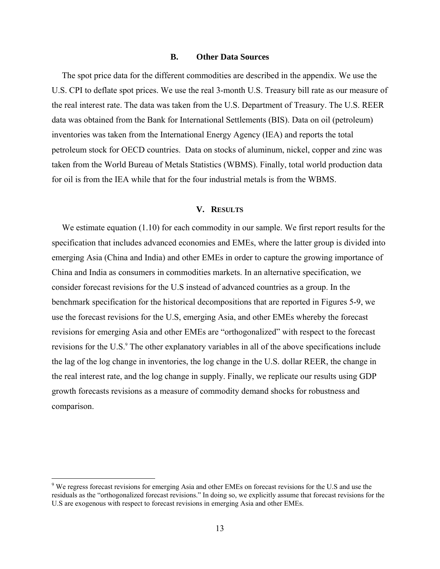#### **B. Other Data Sources**

The spot price data for the different commodities are described in the appendix. We use the U.S. CPI to deflate spot prices. We use the real 3-month U.S. Treasury bill rate as our measure of the real interest rate. The data was taken from the U.S. Department of Treasury. The U.S. REER data was obtained from the Bank for International Settlements (BIS). Data on oil (petroleum) inventories was taken from the International Energy Agency (IEA) and reports the total petroleum stock for OECD countries. Data on stocks of aluminum, nickel, copper and zinc was taken from the World Bureau of Metals Statistics (WBMS). Finally, total world production data for oil is from the IEA while that for the four industrial metals is from the WBMS.

#### **V. RESULTS**

We estimate equation (1.10) for each commodity in our sample. We first report results for the specification that includes advanced economies and EMEs, where the latter group is divided into emerging Asia (China and India) and other EMEs in order to capture the growing importance of China and India as consumers in commodities markets. In an alternative specification, we consider forecast revisions for the U.S instead of advanced countries as a group. In the benchmark specification for the historical decompositions that are reported in Figures 5-9, we use the forecast revisions for the U.S, emerging Asia, and other EMEs whereby the forecast revisions for emerging Asia and other EMEs are "orthogonalized" with respect to the forecast revisions for the U.S.<sup>9</sup> The other explanatory variables in all of the above specifications include the lag of the log change in inventories, the log change in the U.S. dollar REER, the change in the real interest rate, and the log change in supply. Finally, we replicate our results using GDP growth forecasts revisions as a measure of commodity demand shocks for robustness and comparison.

<u>.</u>

<sup>&</sup>lt;sup>9</sup> We regress forecast revisions for emerging Asia and other EMEs on forecast revisions for the U.S and use the residuals as the "orthogonalized forecast revisions." In doing so, we explicitly assume that forecast revisions for the U.S are exogenous with respect to forecast revisions in emerging Asia and other EMEs.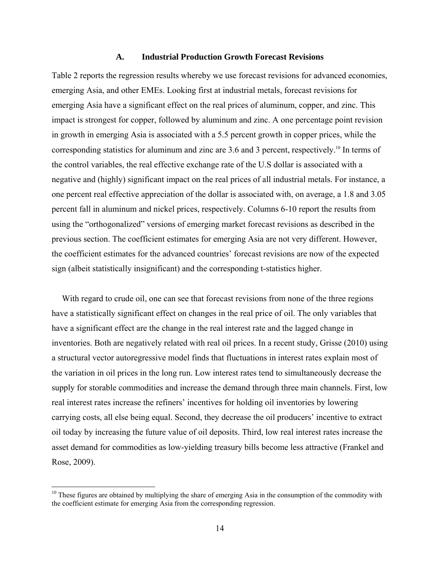#### **A. Industrial Production Growth Forecast Revisions**

Table 2 reports the regression results whereby we use forecast revisions for advanced economies, emerging Asia, and other EMEs. Looking first at industrial metals, forecast revisions for emerging Asia have a significant effect on the real prices of aluminum, copper, and zinc. This impact is strongest for copper, followed by aluminum and zinc. A one percentage point revision in growth in emerging Asia is associated with a 5.5 percent growth in copper prices, while the corresponding statistics for aluminum and zinc are 3.6 and 3 percent, respectively.10 In terms of the control variables, the real effective exchange rate of the U.S dollar is associated with a negative and (highly) significant impact on the real prices of all industrial metals. For instance, a one percent real effective appreciation of the dollar is associated with, on average, a 1.8 and 3.05 percent fall in aluminum and nickel prices, respectively. Columns 6-10 report the results from using the "orthogonalized" versions of emerging market forecast revisions as described in the previous section. The coefficient estimates for emerging Asia are not very different. However, the coefficient estimates for the advanced countries' forecast revisions are now of the expected sign (albeit statistically insignificant) and the corresponding t-statistics higher.

With regard to crude oil, one can see that forecast revisions from none of the three regions have a statistically significant effect on changes in the real price of oil. The only variables that have a significant effect are the change in the real interest rate and the lagged change in inventories. Both are negatively related with real oil prices. In a recent study, Grisse (2010) using a structural vector autoregressive model finds that fluctuations in interest rates explain most of the variation in oil prices in the long run. Low interest rates tend to simultaneously decrease the supply for storable commodities and increase the demand through three main channels. First, low real interest rates increase the refiners' incentives for holding oil inventories by lowering carrying costs, all else being equal. Second, they decrease the oil producers' incentive to extract oil today by increasing the future value of oil deposits. Third, low real interest rates increase the asset demand for commodities as low-yielding treasury bills become less attractive (Frankel and Rose, 2009).

 $10$  These figures are obtained by multiplying the share of emerging Asia in the consumption of the commodity with the coefficient estimate for emerging Asia from the corresponding regression.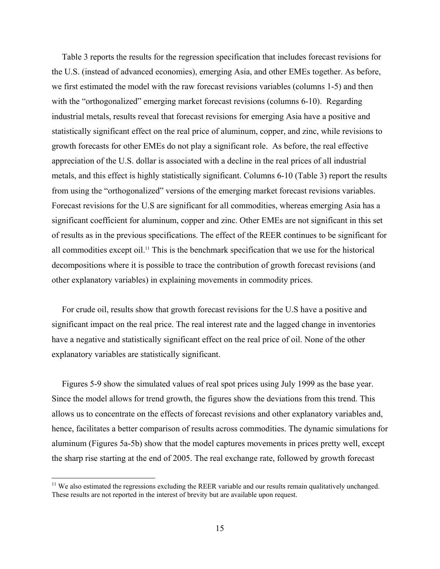Table 3 reports the results for the regression specification that includes forecast revisions for the U.S. (instead of advanced economies), emerging Asia, and other EMEs together. As before, we first estimated the model with the raw forecast revisions variables (columns 1-5) and then with the "orthogonalized" emerging market forecast revisions (columns 6-10). Regarding industrial metals, results reveal that forecast revisions for emerging Asia have a positive and statistically significant effect on the real price of aluminum, copper, and zinc, while revisions to growth forecasts for other EMEs do not play a significant role. As before, the real effective appreciation of the U.S. dollar is associated with a decline in the real prices of all industrial metals, and this effect is highly statistically significant. Columns 6-10 (Table 3) report the results from using the "orthogonalized" versions of the emerging market forecast revisions variables. Forecast revisions for the U.S are significant for all commodities, whereas emerging Asia has a significant coefficient for aluminum, copper and zinc. Other EMEs are not significant in this set of results as in the previous specifications. The effect of the REER continues to be significant for all commodities except oil.11 This is the benchmark specification that we use for the historical decompositions where it is possible to trace the contribution of growth forecast revisions (and other explanatory variables) in explaining movements in commodity prices.

For crude oil, results show that growth forecast revisions for the U.S have a positive and significant impact on the real price. The real interest rate and the lagged change in inventories have a negative and statistically significant effect on the real price of oil. None of the other explanatory variables are statistically significant.

Figures 5-9 show the simulated values of real spot prices using July 1999 as the base year. Since the model allows for trend growth, the figures show the deviations from this trend. This allows us to concentrate on the effects of forecast revisions and other explanatory variables and, hence, facilitates a better comparison of results across commodities. The dynamic simulations for aluminum (Figures 5a-5b) show that the model captures movements in prices pretty well, except the sharp rise starting at the end of 2005. The real exchange rate, followed by growth forecast

 $11$  We also estimated the regressions excluding the REER variable and our results remain qualitatively unchanged. These results are not reported in the interest of brevity but are available upon request.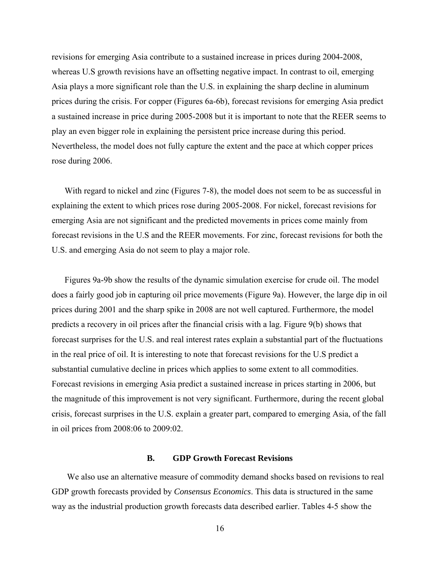revisions for emerging Asia contribute to a sustained increase in prices during 2004-2008, whereas U.S growth revisions have an offsetting negative impact. In contrast to oil, emerging Asia plays a more significant role than the U.S. in explaining the sharp decline in aluminum prices during the crisis. For copper (Figures 6a-6b), forecast revisions for emerging Asia predict a sustained increase in price during 2005-2008 but it is important to note that the REER seems to play an even bigger role in explaining the persistent price increase during this period. Nevertheless, the model does not fully capture the extent and the pace at which copper prices rose during 2006.

With regard to nickel and zinc (Figures 7-8), the model does not seem to be as successful in explaining the extent to which prices rose during 2005-2008. For nickel, forecast revisions for emerging Asia are not significant and the predicted movements in prices come mainly from forecast revisions in the U.S and the REER movements. For zinc, forecast revisions for both the U.S. and emerging Asia do not seem to play a major role.

Figures 9a-9b show the results of the dynamic simulation exercise for crude oil. The model does a fairly good job in capturing oil price movements (Figure 9a). However, the large dip in oil prices during 2001 and the sharp spike in 2008 are not well captured. Furthermore, the model predicts a recovery in oil prices after the financial crisis with a lag. Figure 9(b) shows that forecast surprises for the U.S. and real interest rates explain a substantial part of the fluctuations in the real price of oil. It is interesting to note that forecast revisions for the U.S predict a substantial cumulative decline in prices which applies to some extent to all commodities. Forecast revisions in emerging Asia predict a sustained increase in prices starting in 2006, but the magnitude of this improvement is not very significant. Furthermore, during the recent global crisis, forecast surprises in the U.S. explain a greater part, compared to emerging Asia, of the fall in oil prices from 2008:06 to 2009:02.

#### **B. GDP Growth Forecast Revisions**

We also use an alternative measure of commodity demand shocks based on revisions to real GDP growth forecasts provided by *Consensus Economics*. This data is structured in the same way as the industrial production growth forecasts data described earlier. Tables 4-5 show the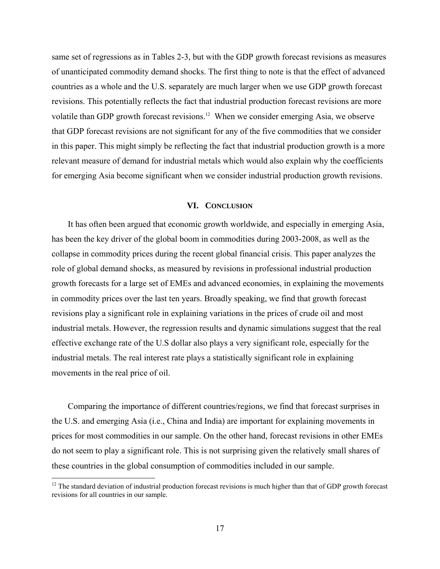same set of regressions as in Tables 2-3, but with the GDP growth forecast revisions as measures of unanticipated commodity demand shocks. The first thing to note is that the effect of advanced countries as a whole and the U.S. separately are much larger when we use GDP growth forecast revisions. This potentially reflects the fact that industrial production forecast revisions are more volatile than GDP growth forecast revisions.12 When we consider emerging Asia, we observe that GDP forecast revisions are not significant for any of the five commodities that we consider in this paper. This might simply be reflecting the fact that industrial production growth is a more relevant measure of demand for industrial metals which would also explain why the coefficients for emerging Asia become significant when we consider industrial production growth revisions.

#### **VI. CONCLUSION**

It has often been argued that economic growth worldwide, and especially in emerging Asia, has been the key driver of the global boom in commodities during 2003-2008, as well as the collapse in commodity prices during the recent global financial crisis. This paper analyzes the role of global demand shocks, as measured by revisions in professional industrial production growth forecasts for a large set of EMEs and advanced economies, in explaining the movements in commodity prices over the last ten years. Broadly speaking, we find that growth forecast revisions play a significant role in explaining variations in the prices of crude oil and most industrial metals. However, the regression results and dynamic simulations suggest that the real effective exchange rate of the U.S dollar also plays a very significant role, especially for the industrial metals. The real interest rate plays a statistically significant role in explaining movements in the real price of oil.

Comparing the importance of different countries/regions, we find that forecast surprises in the U.S. and emerging Asia (i.e., China and India) are important for explaining movements in prices for most commodities in our sample. On the other hand, forecast revisions in other EMEs do not seem to play a significant role. This is not surprising given the relatively small shares of these countries in the global consumption of commodities included in our sample.

 $\overline{a}$ 

 $12$  The standard deviation of industrial production forecast revisions is much higher than that of GDP growth forecast revisions for all countries in our sample.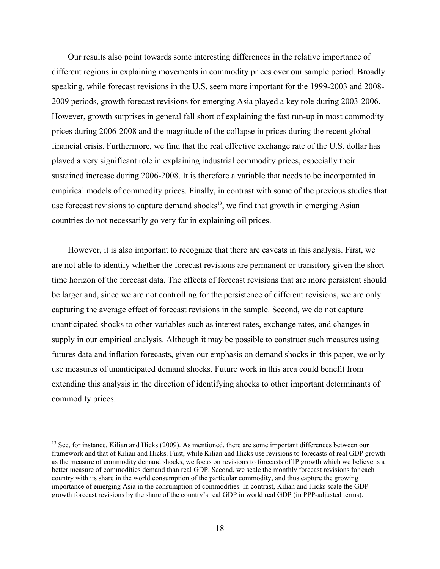Our results also point towards some interesting differences in the relative importance of different regions in explaining movements in commodity prices over our sample period. Broadly speaking, while forecast revisions in the U.S. seem more important for the 1999-2003 and 2008- 2009 periods, growth forecast revisions for emerging Asia played a key role during 2003-2006. However, growth surprises in general fall short of explaining the fast run-up in most commodity prices during 2006-2008 and the magnitude of the collapse in prices during the recent global financial crisis. Furthermore, we find that the real effective exchange rate of the U.S. dollar has played a very significant role in explaining industrial commodity prices, especially their sustained increase during 2006-2008. It is therefore a variable that needs to be incorporated in empirical models of commodity prices. Finally, in contrast with some of the previous studies that use forecast revisions to capture demand shocks $13$ , we find that growth in emerging Asian countries do not necessarily go very far in explaining oil prices.

However, it is also important to recognize that there are caveats in this analysis. First, we are not able to identify whether the forecast revisions are permanent or transitory given the short time horizon of the forecast data. The effects of forecast revisions that are more persistent should be larger and, since we are not controlling for the persistence of different revisions, we are only capturing the average effect of forecast revisions in the sample. Second, we do not capture unanticipated shocks to other variables such as interest rates, exchange rates, and changes in supply in our empirical analysis. Although it may be possible to construct such measures using futures data and inflation forecasts, given our emphasis on demand shocks in this paper, we only use measures of unanticipated demand shocks. Future work in this area could benefit from extending this analysis in the direction of identifying shocks to other important determinants of commodity prices.

 $\overline{a}$ 

<sup>&</sup>lt;sup>13</sup> See, for instance, Kilian and Hicks (2009). As mentioned, there are some important differences between our framework and that of Kilian and Hicks. First, while Kilian and Hicks use revisions to forecasts of real GDP growth as the measure of commodity demand shocks, we focus on revisions to forecasts of IP growth which we believe is a better measure of commodities demand than real GDP. Second, we scale the monthly forecast revisions for each country with its share in the world consumption of the particular commodity, and thus capture the growing importance of emerging Asia in the consumption of commodities. In contrast, Kilian and Hicks scale the GDP growth forecast revisions by the share of the country's real GDP in world real GDP (in PPP-adjusted terms).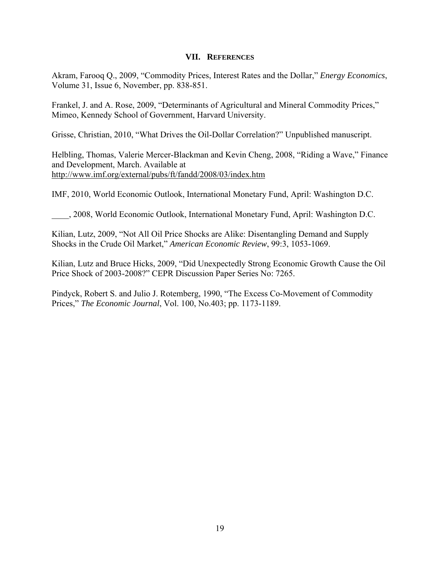#### **VII. REFERENCES**

Akram, Farooq Q., 2009, "Commodity Prices, Interest Rates and the Dollar," *Energy Economics*, Volume 31, Issue 6, November, pp. 838-851.

Frankel, J. and A. Rose, 2009, "Determinants of Agricultural and Mineral Commodity Prices," Mimeo, Kennedy School of Government, Harvard University.

Grisse, Christian, 2010, "What Drives the Oil-Dollar Correlation?" Unpublished manuscript.

Helbling, Thomas, Valerie Mercer-Blackman and Kevin Cheng, 2008, "Riding a Wave," Finance and Development, March. Available at http://www.imf.org/external/pubs/ft/fandd/2008/03/index.htm

IMF, 2010, World Economic Outlook, International Monetary Fund, April: Washington D.C.

\_\_\_\_, 2008, World Economic Outlook, International Monetary Fund, April: Washington D.C.

Kilian, Lutz, 2009, "Not All Oil Price Shocks are Alike: Disentangling Demand and Supply Shocks in the Crude Oil Market," *American Economic Review*, 99:3, 1053-1069.

Kilian, Lutz and Bruce Hicks, 2009, "Did Unexpectedly Strong Economic Growth Cause the Oil Price Shock of 2003-2008?" CEPR Discussion Paper Series No: 7265.

Pindyck, Robert S. and Julio J. Rotemberg, 1990, "The Excess Co-Movement of Commodity Prices," *The Economic Journal*, Vol. 100, No.403; pp. 1173-1189.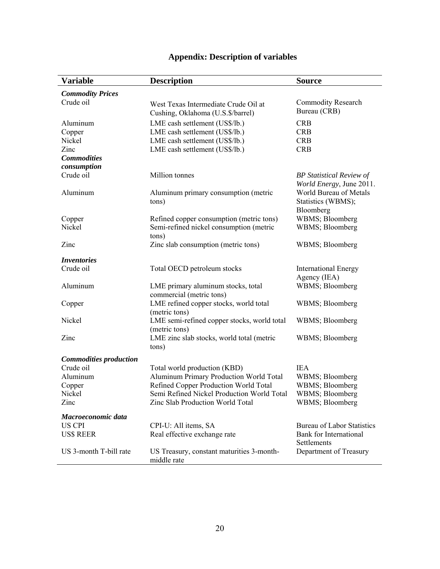| <b>Variable</b>               | <b>Description</b>                                                                  | <b>Source</b>                                      |
|-------------------------------|-------------------------------------------------------------------------------------|----------------------------------------------------|
| <b>Commodity Prices</b>       |                                                                                     |                                                    |
| Crude oil                     | West Texas Intermediate Crude Oil at                                                | <b>Commodity Research</b>                          |
|                               | Cushing, Oklahoma (U.S.\$/barrel)                                                   | Bureau (CRB)                                       |
| Aluminum                      | LME cash settlement (US\$/lb.)                                                      | <b>CRB</b>                                         |
|                               | LME cash settlement (US\$/lb.)                                                      | <b>CRB</b>                                         |
| Copper<br>Nickel              | LME cash settlement (US\$/lb.)                                                      | <b>CRB</b>                                         |
| Zinc                          | LME cash settlement (US\$/lb.)                                                      | <b>CRB</b>                                         |
| <b>Commodities</b>            |                                                                                     |                                                    |
| consumption                   |                                                                                     |                                                    |
| Crude oil                     | Million tonnes                                                                      |                                                    |
|                               |                                                                                     | <b>BP</b> Statistical Review of                    |
| Aluminum                      |                                                                                     | World Energy, June 2011.<br>World Bureau of Metals |
|                               | Aluminum primary consumption (metric<br>tons)                                       | Statistics (WBMS);                                 |
|                               |                                                                                     | Bloomberg                                          |
|                               | Refined copper consumption (metric tons)                                            | WBMS; Bloomberg                                    |
| Copper<br>Nickel              | Semi-refined nickel consumption (metric                                             | WBMS; Bloomberg                                    |
|                               | tons)                                                                               |                                                    |
| Zinc                          |                                                                                     |                                                    |
|                               | Zinc slab consumption (metric tons)                                                 | WBMS; Bloomberg                                    |
| <i>Inventories</i>            |                                                                                     |                                                    |
| Crude oil                     | Total OECD petroleum stocks                                                         | <b>International Energy</b>                        |
|                               |                                                                                     | Agency (IEA)                                       |
| Aluminum                      | LME primary aluminum stocks, total                                                  | WBMS; Bloomberg                                    |
|                               | commercial (metric tons)                                                            |                                                    |
| Copper                        | LME refined copper stocks, world total                                              | WBMS; Bloomberg                                    |
|                               | (metric tons)                                                                       |                                                    |
| Nickel                        | LME semi-refined copper stocks, world total                                         | WBMS; Bloomberg                                    |
|                               | (metric tons)                                                                       |                                                    |
| Zinc                          | LME zinc slab stocks, world total (metric                                           | WBMS; Bloomberg                                    |
|                               | tons)                                                                               |                                                    |
|                               |                                                                                     |                                                    |
| <b>Commodities production</b> |                                                                                     | <b>IEA</b>                                         |
| Crude oil<br>Aluminum         | Total world production (KBD)                                                        |                                                    |
|                               | Aluminum Primary Production World Total                                             | WBMS; Bloomberg                                    |
| Copper                        | Refined Copper Production World Total<br>Semi Refined Nickel Production World Total | WBMS; Bloomberg                                    |
| Nickel                        |                                                                                     | WBMS; Bloomberg                                    |
| Zinc                          | Zinc Slab Production World Total                                                    | WBMS; Bloomberg                                    |
| Macroeconomic data            |                                                                                     |                                                    |
| US CPI                        | CPI-U: All items, SA                                                                | <b>Bureau of Labor Statistics</b>                  |
| <b>US\$ REER</b>              | Real effective exchange rate                                                        | Bank for International                             |
|                               |                                                                                     | Settlements                                        |
| US 3-month T-bill rate        | US Treasury, constant maturities 3-month-                                           | Department of Treasury                             |
|                               | middle rate                                                                         |                                                    |

# **Appendix: Description of variables**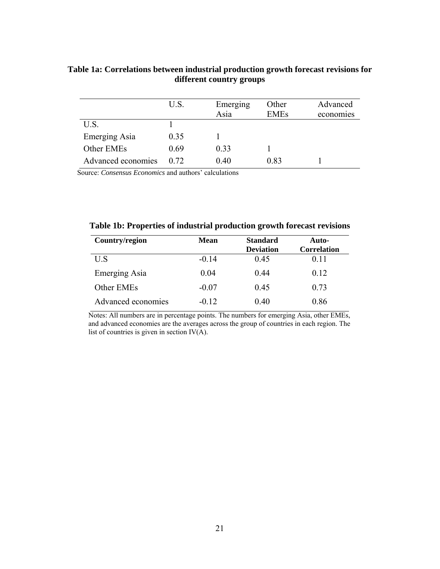|                    | U.S. | Emerging<br>Asia | Other<br><b>EMEs</b> | Advanced<br>economies |
|--------------------|------|------------------|----------------------|-----------------------|
| U.S.               |      |                  |                      |                       |
| Emerging Asia      | 0.35 |                  |                      |                       |
| Other EMEs         | 0.69 | 0.33             |                      |                       |
| Advanced economies | 0.72 | 0.40             | 0.83                 |                       |

### **Table 1a: Correlations between industrial production growth forecast revisions for different country groups**

Source: *Consensus Economics* and authors' calculations

**Table 1b: Properties of industrial production growth forecast revisions** 

| Country/region     | <b>Mean</b> | <b>Standard</b><br><b>Deviation</b> | Auto-<br><b>Correlation</b> |
|--------------------|-------------|-------------------------------------|-----------------------------|
| U S                | $-0.14$     | 0.45                                | 0.11                        |
| Emerging Asia      | 0.04        | 0.44                                | 0.12                        |
| Other EMEs         | $-0.07$     | 0.45                                | 0.73                        |
| Advanced economies | $-0.12$     | 0.40                                | 0.86                        |

Notes: All numbers are in percentage points. The numbers for emerging Asia, other EMEs, and advanced economies are the averages across the group of countries in each region. The list of countries is given in section  $IV(A)$ .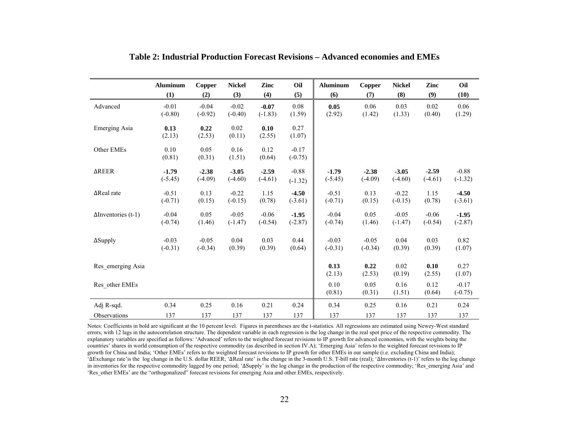|                            | <b>Aluminum</b>      | Copper               | <b>Nickel</b>        | Zinc                 | Oil                  | <b>Aluminum</b>      | Copper               | <b>Nickel</b>        | Zinc                 | Oil                  |
|----------------------------|----------------------|----------------------|----------------------|----------------------|----------------------|----------------------|----------------------|----------------------|----------------------|----------------------|
|                            | (1)                  | (2)                  | (3)                  | (4)                  | (5)                  | (6)                  | (7)                  | (8)                  | (9)                  | (10)                 |
| Advanced                   | $-0.01$<br>$(-0.80)$ | $-0.04$<br>$(-0.92)$ | $-0.02$<br>$(-0.40)$ | $-0.07$<br>$(-1.83)$ | 0.08<br>(1.59)       | 0.05<br>(2.92)       | 0.06<br>(1.42)       | 0.03<br>(1.33)       | 0.02<br>(0.40)       | 0.06<br>(1.29)       |
| <b>Emerging Asia</b>       | 0.13<br>(2.13)       | 0.22<br>(2.53)       | $0.02\,$<br>(0.11)   | 0.10<br>(2.55)       | 0.27<br>(1.07)       |                      |                      |                      |                      |                      |
| Other EMEs                 | 0.10<br>(0.81)       | 0.05<br>(0.31)       | 0.16<br>(1.51)       | 0.12<br>(0.64)       | $-0.17$<br>$(-0.75)$ |                      |                      |                      |                      |                      |
| <b>AREER</b>               | $-1.79$<br>$(-5.45)$ | $-2.38$<br>$(-4.09)$ | $-3.05$<br>$(-4.60)$ | $-2.59$<br>$(-4.61)$ | $-0.88$<br>$(-1.32)$ | $-1.79$<br>$(-5.45)$ | $-2.38$<br>$(-4.09)$ | $-3.05$<br>$(-4.60)$ | $-2.59$<br>$(-4.61)$ | $-0.88$<br>$(-1.32)$ |
| ∆Real rate                 | $-0.51$<br>$(-0.71)$ | 0.13<br>(0.15)       | $-0.22$<br>$(-0.15)$ | 1.15<br>(0.78)       | $-4.50$<br>$(-3.61)$ | $-0.51$<br>$(-0.71)$ | 0.13<br>(0.15)       | $-0.22$<br>$(-0.15)$ | 1.15<br>(0.78)       | $-4.50$<br>$(-3.61)$ |
| $\Delta$ Inventories (t-1) | $-0.04$<br>$(-0.74)$ | 0.05<br>(1.46)       | $-0.05$<br>$(-1.47)$ | $-0.06$<br>$(-0.54)$ | $-1.95$<br>$(-2.87)$ | $-0.04$<br>$(-0.74)$ | 0.05<br>(1.46)       | $-0.05$<br>$(-1.47)$ | $-0.06$<br>$(-0.54)$ | $-1.95$<br>$(-2.87)$ |
| $\Delta$ Supply            | $-0.03$<br>$(-0.31)$ | $-0.05$<br>$(-0.34)$ | 0.04<br>(0.39)       | 0.03<br>(0.39)       | 0.44<br>(0.64)       | $-0.03$<br>$(-0.31)$ | $-0.05$<br>$(-0.34)$ | 0.04<br>(0.39)       | 0.03<br>(0.39)       | 0.82<br>(1.07)       |
| Res emerging Asia          |                      |                      |                      |                      |                      | 0.13<br>(2.13)       | 0.22<br>(2.53)       | 0.02<br>(0.19)       | 0.10<br>(2.55)       | 0.27<br>(1.07)       |
| Res other EMEs             |                      |                      |                      |                      |                      | 0.10<br>(0.81)       | 0.05<br>(0.31)       | 0.16<br>(1.51)       | 0.12<br>(0.64)       | $-0.17$<br>$(-0.75)$ |
| Adj R-sqd.                 | 0.34                 | 0.25                 | 0.16                 | 0.21                 | 0.24                 | 0.34                 | 0.25                 | 0.16                 | 0.21                 | 0.24                 |
| <b>Observations</b>        | 137                  | 137                  | 137                  | 137                  | 137                  | 137                  | 137                  | 137                  | 137                  | 137                  |

#### **Table 2: Industrial Production Forecast Revisions – Advanced economies and EMEs**

Notes: Coefficients in bold are significant at the 10 percent level. Figures in parentheses are the t-statistics. All regressions are estimated using Newey-West standard errors, with 12 lags in the autocorrelation structure. The dependent variable in each regression is the log change in the real spot price of the respective commodity. The explanatory variables are specified as follows: 'Advanced' refers to the weighted forecast revisions to IP growth for advanced economies, with the weights being the countries' shares in world consumption of the respective commodity (as described in section IV.A); 'Emerging Asia' refers to the weighted forecast revisions to IP growth for China and India; 'Other EMEs' refers to the weighted forecast revisions to IP growth for other EMEs in our sample (i.e. excluding China and India); '∆Exchange rate'is the log change in the U.S. dollar REER; '∆Real rate' is the change in the 3-month U.S. T-bill rate (real); '∆Inventories (t-1)' refers to the log change in inventories for the respective commodity lagged by one period; '∆Supply' is the log change in the production of the respective commodity; 'Res\_emerging Asia' and 'Res\_other EMEs' are the "orthogonalized" forecast revisions for emerging Asia and other EMEs, respectively.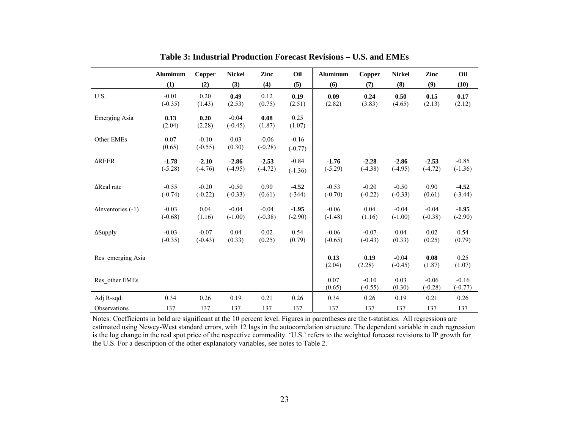|                           | <b>Aluminum</b>      | Copper               | <b>Nickel</b>        | Zinc                 | Oil                  | <b>Aluminum</b>      | Copper               | <b>Nickel</b>        | Zinc                 | Oil                  |
|---------------------------|----------------------|----------------------|----------------------|----------------------|----------------------|----------------------|----------------------|----------------------|----------------------|----------------------|
|                           | (1)                  | (2)                  | (3)                  | (4)                  | (5)                  | (6)                  | (7)                  | (8)                  | (9)                  | (10)                 |
| U.S.                      | $-0.01$<br>$(-0.35)$ | 0.20<br>(1.43)       | 0.49<br>(2.53)       | 0.12<br>(0.75)       | 0.19<br>(2.51)       | 0.09<br>(2.82)       | 0.24<br>(3.83)       | 0.50<br>(4.65)       | 0.15<br>(2.13)       | 0.17<br>(2.12)       |
| Emerging Asia             | 0.13<br>(2.04)       | 0.20<br>(2.28)       | $-0.04$<br>$(-0.45)$ | 0.08<br>(1.87)       | 0.25<br>(1.07)       |                      |                      |                      |                      |                      |
| Other EMEs                | 0.07<br>(0.65)       | $-0.10$<br>$(-0.55)$ | 0.03<br>(0.30)       | $-0.06$<br>$(-0.28)$ | $-0.16$<br>$(-0.77)$ |                      |                      |                      |                      |                      |
| ∆REER                     | $-1.78$<br>$(-5.28)$ | $-2.10$<br>$(-4.76)$ | $-2.86$<br>$(-4.95)$ | $-2.53$<br>$(-4.72)$ | $-0.84$<br>$(-1.36)$ | $-1.76$<br>$(-5.29)$ | $-2.28$<br>$(-4.38)$ | $-2.86$<br>$(-4.95)$ | $-2.53$<br>$(-4.72)$ | $-0.85$<br>$(-1.36)$ |
| $\Delta$ Real rate        | $-0.55$<br>$(-0.74)$ | $-0.20$<br>$(-0.22)$ | $-0.50$<br>$(-0.33)$ | 0.90<br>(0.61)       | $-4.52$<br>$(-344)$  | $-0.53$<br>$(-0.70)$ | $-0.20$<br>$(-0.22)$ | $-0.50$<br>$(-0.33)$ | 0.90<br>(0.61)       | $-4.52$<br>$(-3.44)$ |
| $\Delta$ Inventories (-1) | $-0.03$<br>$(-0.68)$ | 0.04<br>(1.16)       | $-0.04$<br>$(-1.00)$ | $-0.04$<br>$(-0.38)$ | $-1.95$<br>$(-2.90)$ | $-0.06$<br>$(-1.48)$ | 0.04<br>(1.16)       | $-0.04$<br>$(-1.00)$ | $-0.04$<br>$(-0.38)$ | $-1.95$<br>$(-2.90)$ |
| $\Delta$ Supply           | $-0.03$<br>$(-0.35)$ | $-0.07$<br>$(-0.43)$ | 0.04<br>(0.33)       | 0.02<br>(0.25)       | 0.54<br>(0.79)       | $-0.06$<br>$(-0.65)$ | $-0.07$<br>$(-0.43)$ | 0.04<br>(0.33)       | 0.02<br>(0.25)       | 0.54<br>(0.79)       |
| Res emerging Asia         |                      |                      |                      |                      |                      | 0.13<br>(2.04)       | 0.19<br>(2.28)       | $-0.04$<br>$(-0.45)$ | 0.08<br>(1.87)       | 0.25<br>(1.07)       |
| Res other EMEs            |                      |                      |                      |                      |                      | 0.07<br>(0.65)       | $-0.10$<br>$(-0.55)$ | 0.03<br>(0.30)       | $-0.06$<br>$(-0.28)$ | $-0.16$<br>$(-0.77)$ |
| Adj R-sqd.                | 0.34                 | 0.26                 | 0.19                 | 0.21                 | 0.26                 | 0.34                 | 0.26                 | 0.19                 | 0.21                 | 0.26                 |
| Observations              | 137                  | 137                  | 137                  | 137                  | 137                  | 137                  | 137                  | 137                  | 137                  | 137                  |

**Table 3: Industrial Production Forecast Revisions – U.S. and EMEs**

Notes: Coefficients in bold are significant at the 10 percent level. Figures in parentheses are the t-statistics. All regressions are estimated using Newey-West standard errors, with 12 lags in the autocorrelation structure. The dependent variable in each regression is the log change in the real spot price of the respective commodity. 'U.S.' refers to the weighted forecast revisions to IP growth for the U.S. For a description of the other explanatory variables, see notes to Table 2.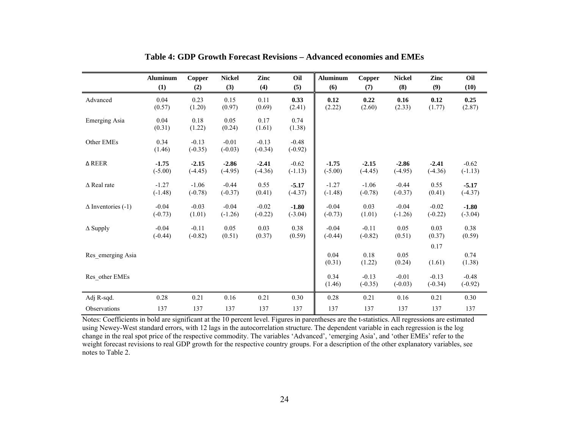|                           | <b>Aluminum</b> | Copper               | <b>Nickel</b>        | Zinc                 | Oil                  | <b>Aluminum</b> | Copper               | <b>Nickel</b>        | Zinc                 | Oil                  |
|---------------------------|-----------------|----------------------|----------------------|----------------------|----------------------|-----------------|----------------------|----------------------|----------------------|----------------------|
|                           | (1)             | (2)                  | (3)                  | (4)                  | (5)                  | (6)             | (7)                  | (8)                  | (9)                  | (10)                 |
| Advanced                  | 0.04            | 0.23                 | 0.15                 | 0.11                 | 0.33                 | 0.12            | 0.22                 | 0.16                 | 0.12                 | 0.25                 |
|                           | (0.57)          | (1.20)               | (0.97)               | (0.69)               | (2.41)               | (2.22)          | (2.60)               | (2.33)               | (1.77)               | (2.87)               |
| Emerging Asia             | 0.04<br>(0.31)  | 0.18<br>(1.22)       | 0.05<br>(0.24)       | 0.17<br>(1.61)       | 0.74<br>(1.38)       |                 |                      |                      |                      |                      |
| Other EMEs                | 0.34<br>(1.46)  | $-0.13$<br>$(-0.35)$ | $-0.01$<br>$(-0.03)$ | $-0.13$<br>$(-0.34)$ | $-0.48$<br>$(-0.92)$ |                 |                      |                      |                      |                      |
| $\triangle$ REER          | $-1.75$         | $-2.15$              | $-2.86$              | $-2.41$              | $-0.62$              | $-1.75$         | $-2.15$              | $-2.86$              | $-2.41$              | $-0.62$              |
|                           | $(-5.00)$       | $(-4.45)$            | $(-4.95)$            | $(-4.36)$            | $(-1.13)$            | $(-5.00)$       | $(-4.45)$            | $(-4.95)$            | $(-4.36)$            | $(-1.13)$            |
| $\triangle$ Real rate     | $-1.27$         | $-1.06$              | $-0.44$              | 0.55                 | $-5.17$              | $-1.27$         | $-1.06$              | $-0.44$              | 0.55                 | $-5.17$              |
|                           | $(-1.48)$       | $(-0.78)$            | $(-0.37)$            | (0.41)               | $(-4.37)$            | $(-1.48)$       | $(-0.78)$            | $(-0.37)$            | (0.41)               | $(-4.37)$            |
| $\Delta$ Inventories (-1) | $-0.04$         | $-0.03$              | $-0.04$              | $-0.02$              | $-1.80$              | $-0.04$         | 0.03                 | $-0.04$              | $-0.02$              | $-1.80$              |
|                           | $(-0.73)$       | (1.01)               | $(-1.26)$            | $(-0.22)$            | $(-3.04)$            | $(-0.73)$       | (1.01)               | $(-1.26)$            | $(-0.22)$            | $(-3.04)$            |
| $\Delta$ Supply           | $-0.04$         | $-0.11$              | 0.05                 | 0.03                 | 0.38                 | $-0.04$         | $-0.11$              | 0.05                 | 0.03                 | 0.38                 |
|                           | $(-0.44)$       | $(-0.82)$            | (0.51)               | (0.37)               | (0.59)               | $(-0.44)$       | $(-0.82)$            | (0.51)               | (0.37)               | (0.59)               |
| Res emerging Asia         |                 |                      |                      |                      |                      | 0.04<br>(0.31)  | 0.18<br>(1.22)       | 0.05<br>(0.24)       | 0.17<br>(1.61)       | 0.74<br>(1.38)       |
| Res other EMEs            |                 |                      |                      |                      |                      | 0.34<br>(1.46)  | $-0.13$<br>$(-0.35)$ | $-0.01$<br>$(-0.03)$ | $-0.13$<br>$(-0.34)$ | $-0.48$<br>$(-0.92)$ |
| Adj R-sqd.                | 0.28            | 0.21                 | 0.16                 | 0.21                 | 0.30                 | 0.28            | 0.21                 | 0.16                 | 0.21                 | 0.30                 |
| Observations              | 137             | 137                  | 137                  | 137                  | 137                  | 137             | 137                  | 137                  | 137                  | 137                  |

**Table 4: GDP Growth Forecast Revisions – Advanced economies and EMEs**

Notes: Coefficients in bold are significant at the 10 percent level. Figures in parentheses are the t-statistics. All regressions are estimated using Newey-West standard errors, with 12 lags in the autocorrelation structure. The dependent variable in each regression is the log change in the real spot price of the respective commodity. The variables 'Advanced', 'emerging Asia', and 'other EMEs' refer to the weight forecast revisions to real GDP growth for the respective country groups. For a description of the other explanatory variables, see notes to Table 2.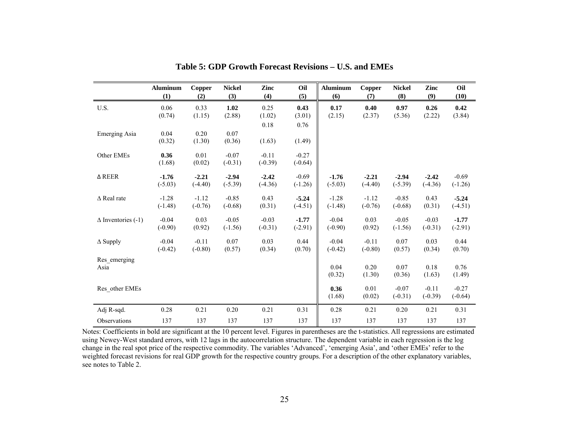|                           | <b>Aluminum</b> | Copper         | <b>Nickel</b>        | Zinc                 | Oil                  | <b>Aluminum</b> | Copper         | <b>Nickel</b>        | Zinc                 | Oil                  |
|---------------------------|-----------------|----------------|----------------------|----------------------|----------------------|-----------------|----------------|----------------------|----------------------|----------------------|
|                           | (1)             | (2)            | (3)                  | (4)                  | (5)                  | (6)             | (7)            | (8)                  | (9)                  | (10)                 |
| U.S.                      | 0.06            | 0.33           | 1.02                 | 0.25                 | 0.43                 | 0.17            | 0.40           | 0.97                 | 0.26                 | 0.42                 |
|                           | (0.74)          | (1.15)         | (2.88)               | (1.02)               | (3.01)               | (2.15)          | (2.37)         | (5.36)               | (2.22)               | (3.84)               |
| <b>Emerging Asia</b>      | 0.04<br>(0.32)  | 0.20<br>(1.30) | 0.07<br>(0.36)       | 0.18<br>(1.63)       | 0.76<br>(1.49)       |                 |                |                      |                      |                      |
| Other EMEs                | 0.36<br>(1.68)  | 0.01<br>(0.02) | $-0.07$<br>$(-0.31)$ | $-0.11$<br>$(-0.39)$ | $-0.27$<br>$(-0.64)$ |                 |                |                      |                      |                      |
| $\Delta$ REER             | $-1.76$         | $-2.21$        | $-2.94$              | $-2.42$              | $-0.69$              | $-1.76$         | $-2.21$        | $-2.94$              | $-2.42$              | $-0.69$              |
|                           | $(-5.03)$       | $(-4.40)$      | $(-5.39)$            | $(-4.36)$            | $(-1.26)$            | $(-5.03)$       | $(-4.40)$      | $(-5.39)$            | $(-4.36)$            | $(-1.26)$            |
| $\triangle$ Real rate     | $-1.28$         | $-1.12$        | $-0.85$              | 0.43                 | $-5.24$              | $-1.28$         | $-1.12$        | $-0.85$              | 0.43                 | $-5.24$              |
|                           | $(-1.48)$       | $(-0.76)$      | $(-0.68)$            | (0.31)               | $(-4.51)$            | $(-1.48)$       | $(-0.76)$      | $(-0.68)$            | (0.31)               | $(-4.51)$            |
| $\Delta$ Inventories (-1) | $-0.04$         | 0.03           | $-0.05$              | $-0.03$              | $-1.77$              | $-0.04$         | 0.03           | $-0.05$              | $-0.03$              | $-1.77$              |
|                           | $(-0.90)$       | (0.92)         | $(-1.56)$            | $(-0.31)$            | $(-2.91)$            | $(-0.90)$       | (0.92)         | $(-1.56)$            | $(-0.31)$            | $(-2.91)$            |
| $\Delta$ Supply           | $-0.04$         | $-0.11$        | 0.07                 | 0.03                 | 0.44                 | $-0.04$         | $-0.11$        | 0.07                 | 0.03                 | 0.44                 |
|                           | $(-0.42)$       | $(-0.80)$      | (0.57)               | (0.34)               | (0.70)               | $(-0.42)$       | $(-0.80)$      | (0.57)               | (0.34)               | (0.70)               |
| Res emerging<br>Asia      |                 |                |                      |                      |                      | 0.04<br>(0.32)  | 0.20<br>(1.30) | 0.07<br>(0.36)       | 0.18<br>(1.63)       | 0.76<br>(1.49)       |
| Res other EMEs            |                 |                |                      |                      |                      | 0.36<br>(1.68)  | 0.01<br>(0.02) | $-0.07$<br>$(-0.31)$ | $-0.11$<br>$(-0.39)$ | $-0.27$<br>$(-0.64)$ |
| Adj R-sqd.                | 0.28            | 0.21           | 0.20                 | 0.21                 | 0.31                 | 0.28            | 0.21           | 0.20                 | 0.21                 | 0.31                 |
| Observations              | 137             | 137            | 137                  | 137                  | 137                  | 137             | 137            | 137                  | 137                  | 137                  |

**Table 5: GDP Growth Forecast Revisions – U.S. and EMEs**

Notes: Coefficients in bold are significant at the 10 percent level. Figures in parentheses are the t-statistics. All regressions are estimated using Newey-West standard errors, with 12 lags in the autocorrelation structure. The dependent variable in each regression is the log change in the real spot price of the respective commodity. The variables 'Advanced', 'emerging Asia', and 'other EMEs' refer to the weighted forecast revisions for real GDP growth for the respective country groups. For a description of the other explanatory variables, see notes to Table 2.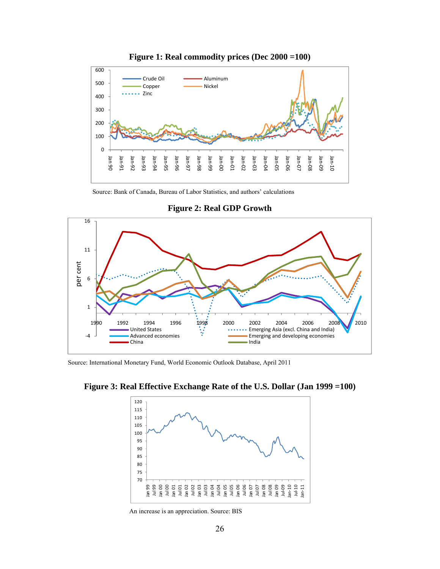

**Figure 1: Real commodity prices (Dec 2000 =100)** 

Source: Bank of Canada, Bureau of Labor Statistics, and authors' calculations



**Figure 2: Real GDP Growth** 

Source: International Monetary Fund, World Economic Outlook Database, April 2011



**Figure 3: Real Effective Exchange Rate of the U.S. Dollar (Jan 1999 =100)**

An increase is an appreciation. Source: BIS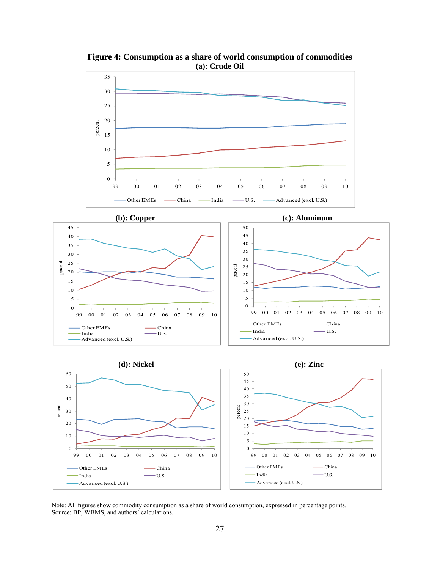

**Figure 4: Consumption as a share of world consumption of commodities (a): Crude Oil** 

Note: All figures show commodity consumption as a share of world consumption, expressed in percentage points. Source: BP, WBMS, and authors' calculations.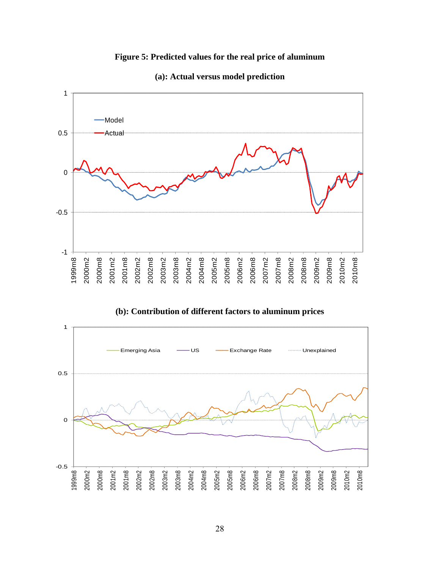# **Figure 5: Predicted values for the real price of aluminum**



### **(a): Actual versus model prediction**

**(b): Contribution of different factors to aluminum prices** 

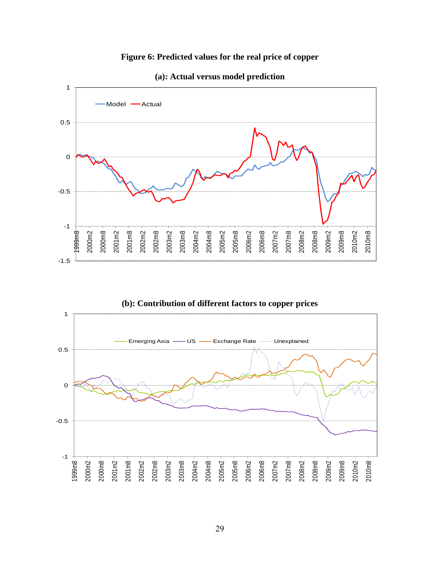## **Figure 6: Predicted values for the real price of copper**



#### **(a): Actual versus model prediction**

**(b): Contribution of different factors to copper prices** 

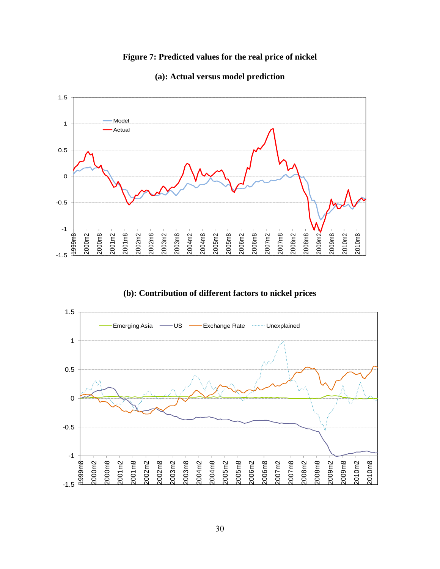# **Figure 7: Predicted values for the real price of nickel**



#### **(a): Actual versus model prediction**

**(b): Contribution of different factors to nickel prices** 

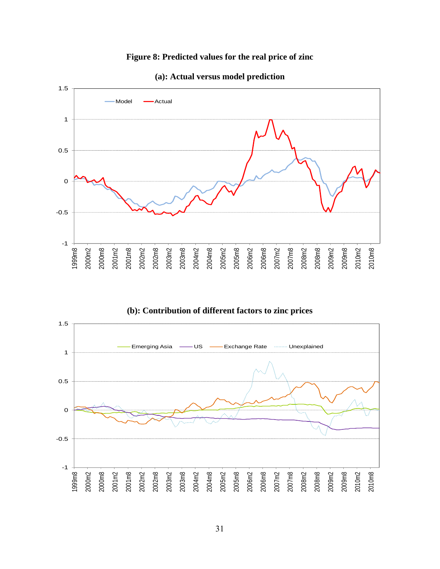## **Figure 8: Predicted values for the real price of zinc**



#### **(a): Actual versus model prediction**

**(b): Contribution of different factors to zinc prices**